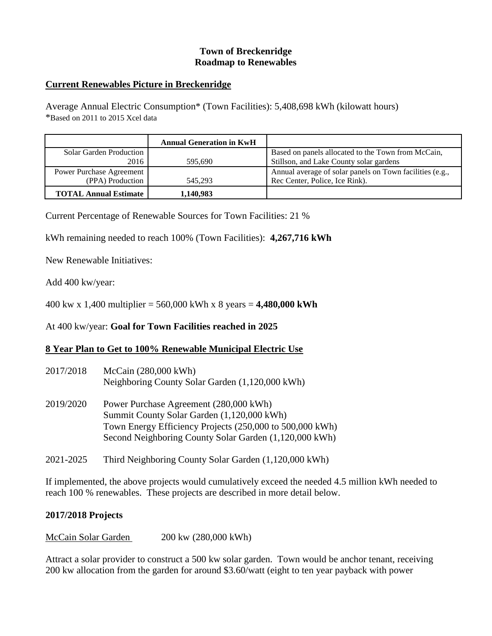# **Town of Breckenridge Roadmap to Renewables**

### **Current Renewables Picture in Breckenridge**

Average Annual Electric Consumption\* (Town Facilities): 5,408,698 kWh (kilowatt hours) \*Based on 2011 to 2015 Xcel data

|                              | <b>Annual Generation in KwH</b> |                                                          |
|------------------------------|---------------------------------|----------------------------------------------------------|
| Solar Garden Production      |                                 | Based on panels allocated to the Town from McCain,       |
| 2016                         | 595.690                         | Stillson, and Lake County solar gardens                  |
| Power Purchase Agreement     |                                 | Annual average of solar panels on Town facilities (e.g., |
| (PPA) Production             | 545.293                         | Rec Center, Police, Ice Rink).                           |
| <b>TOTAL Annual Estimate</b> | 1,140,983                       |                                                          |

Current Percentage of Renewable Sources for Town Facilities: 21 %

kWh remaining needed to reach 100% (Town Facilities): **4,267,716 kWh**

New Renewable Initiatives:

Add 400 kw/year:

400 kw x 1,400 multiplier = 560,000 kWh x 8 years = **4,480,000 kWh**

At 400 kw/year: **Goal for Town Facilities reached in 2025**

#### **8 Year Plan to Get to 100% Renewable Municipal Electric Use**

| 2017/2018 | McCain (280,000 kWh)<br>Neighboring County Solar Garden (1,120,000 kWh)                                                                                                                                    |
|-----------|------------------------------------------------------------------------------------------------------------------------------------------------------------------------------------------------------------|
| 2019/2020 | Power Purchase Agreement (280,000 kWh)<br>Summit County Solar Garden (1,120,000 kWh)<br>Town Energy Efficiency Projects (250,000 to 500,000 kWh)<br>Second Neighboring County Solar Garden (1,120,000 kWh) |

2021-2025 Third Neighboring County Solar Garden (1,120,000 kWh)

If implemented, the above projects would cumulatively exceed the needed 4.5 million kWh needed to reach 100 % renewables. These projects are described in more detail below.

#### **2017/2018 Projects**

McCain Solar Garden 200 kw (280,000 kWh)

Attract a solar provider to construct a 500 kw solar garden. Town would be anchor tenant, receiving 200 kw allocation from the garden for around \$3.60/watt (eight to ten year payback with power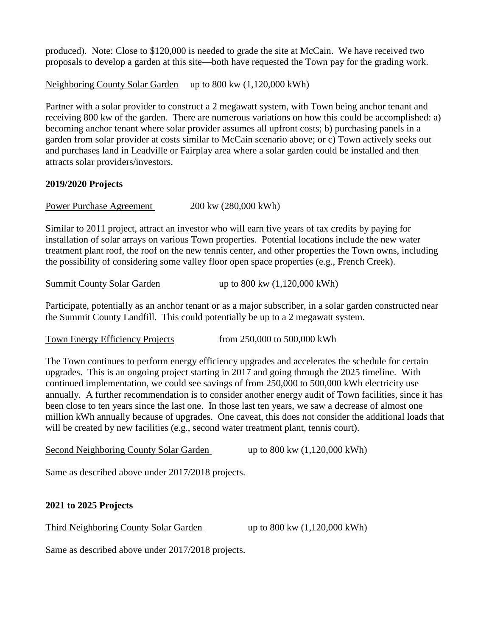produced). Note: Close to \$120,000 is needed to grade the site at McCain. We have received two proposals to develop a garden at this site—both have requested the Town pay for the grading work.

Neighboring County Solar Garden up to 800 kw  $(1,120,000 \text{ kWh})$ 

Partner with a solar provider to construct a 2 megawatt system, with Town being anchor tenant and receiving 800 kw of the garden. There are numerous variations on how this could be accomplished: a) becoming anchor tenant where solar provider assumes all upfront costs; b) purchasing panels in a garden from solar provider at costs similar to McCain scenario above; or c) Town actively seeks out and purchases land in Leadville or Fairplay area where a solar garden could be installed and then attracts solar providers/investors.

## **2019/2020 Projects**

Power Purchase Agreement 200 kw (280,000 kWh)

Similar to 2011 project, attract an investor who will earn five years of tax credits by paying for installation of solar arrays on various Town properties. Potential locations include the new water treatment plant roof, the roof on the new tennis center, and other properties the Town owns, including the possibility of considering some valley floor open space properties (e.g., French Creek).

| <b>Summit County Solar Garden</b> |  | up to $800 \text{ kw } (1,120,000 \text{ kWh})$ |
|-----------------------------------|--|-------------------------------------------------|
|                                   |  |                                                 |

Participate, potentially as an anchor tenant or as a major subscriber, in a solar garden constructed near the Summit County Landfill. This could potentially be up to a 2 megawatt system.

Town Energy Efficiency Projects from 250,000 to 500,000 kWh

The Town continues to perform energy efficiency upgrades and accelerates the schedule for certain upgrades. This is an ongoing project starting in 2017 and going through the 2025 timeline. With continued implementation, we could see savings of from 250,000 to 500,000 kWh electricity use annually. A further recommendation is to consider another energy audit of Town facilities, since it has been close to ten years since the last one. In those last ten years, we saw a decrease of almost one million kWh annually because of upgrades. One caveat, this does not consider the additional loads that will be created by new facilities (e.g., second water treatment plant, tennis court).

Second Neighboring County Solar Garden up to 800 kw (1,120,000 kWh)

Same as described above under 2017/2018 projects.

#### **2021 to 2025 Projects**

Third Neighboring County Solar Garden up to 800 kw (1,120,000 kWh)

Same as described above under 2017/2018 projects.